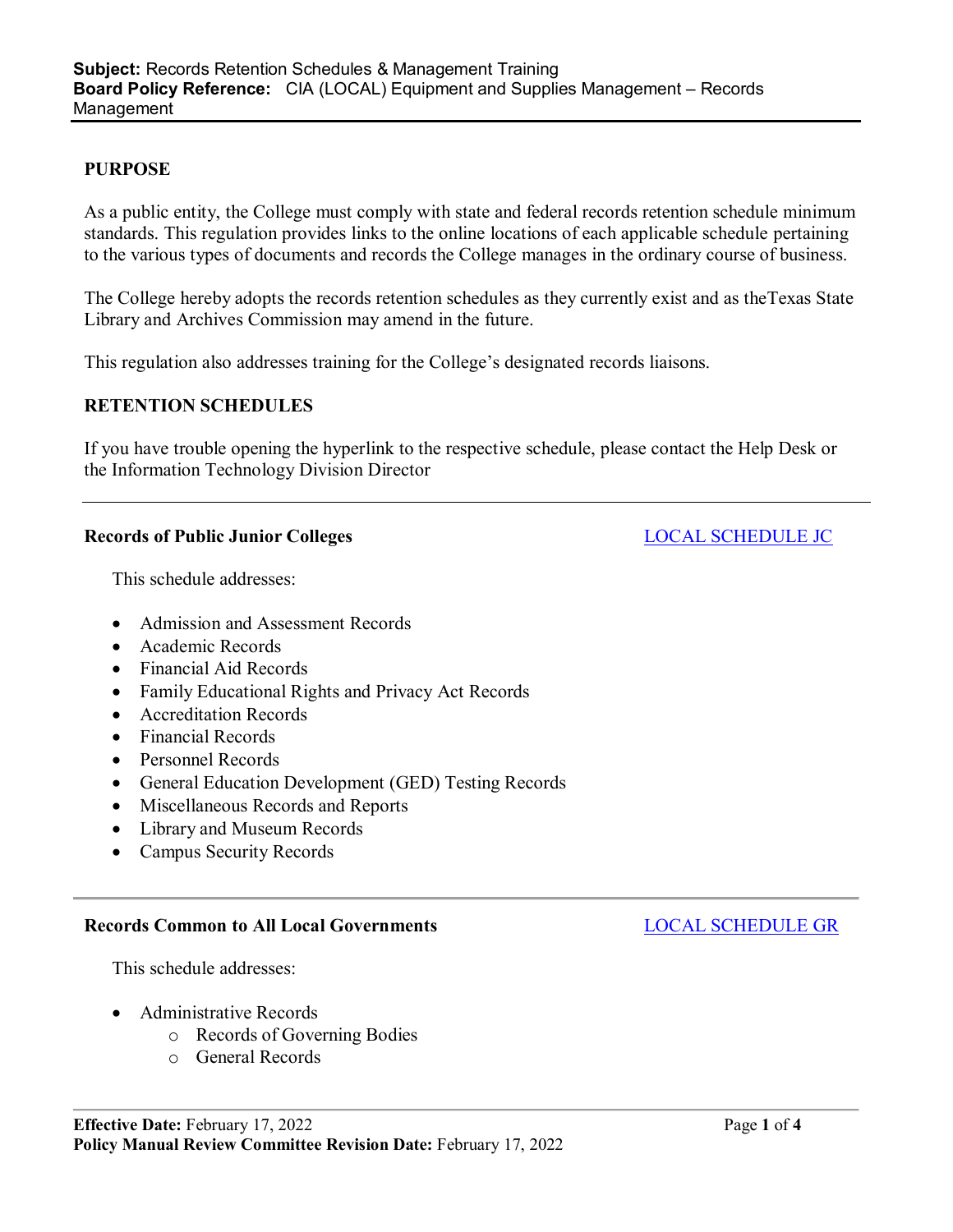## **PURPOSE**

As a public entity, the College must comply with state and federal records retention schedule minimum standards. This regulation provides links to the online locations of each applicable schedule pertaining to the various types of documents and records the College manages in the ordinary course of business.

The College hereby adopts the records retention schedules as they currently exist and as theTexas State Library and Archives Commission may amend in the future.

This regulation also addresses training for the College's designated records liaisons.

# **RETENTION SCHEDULES**

If you have trouble opening the hyperlink to the respective schedule, please contact the Help Desk or the Information Technology Division Director

### **Records of Public Junior Colleges** LOCAL [SCHEDULE](https://www.tsl.texas.gov/sites/default/files/public/tslac/slrm/recordspubs/Schedule%20JC%20-%20Effective%202010-09-22.pdf) JC

This schedule addresses:

- Admission and Assessment Records
- Academic Records
- Financial Aid Records
- Family Educational Rights and Privacy Act Records
- Accreditation Records
- Financial Records
- Personnel Records
- General Education Development (GED) Testing Records
- Miscellaneous Records and Reports
- Library and Museum Records
- Campus Security Records

### **Records Common to All Local Governments** LOCAL [SCHEDULE](https://www.tsl.texas.gov/sites/default/files/public/tslac/slrm/recordspubs/Schedule%20GR%20Revised%205th%20-%20Effective%202016-04-17.pdf) GR

This schedule addresses:

- Administrative Records
	- o Records of Governing Bodies
	- o General Records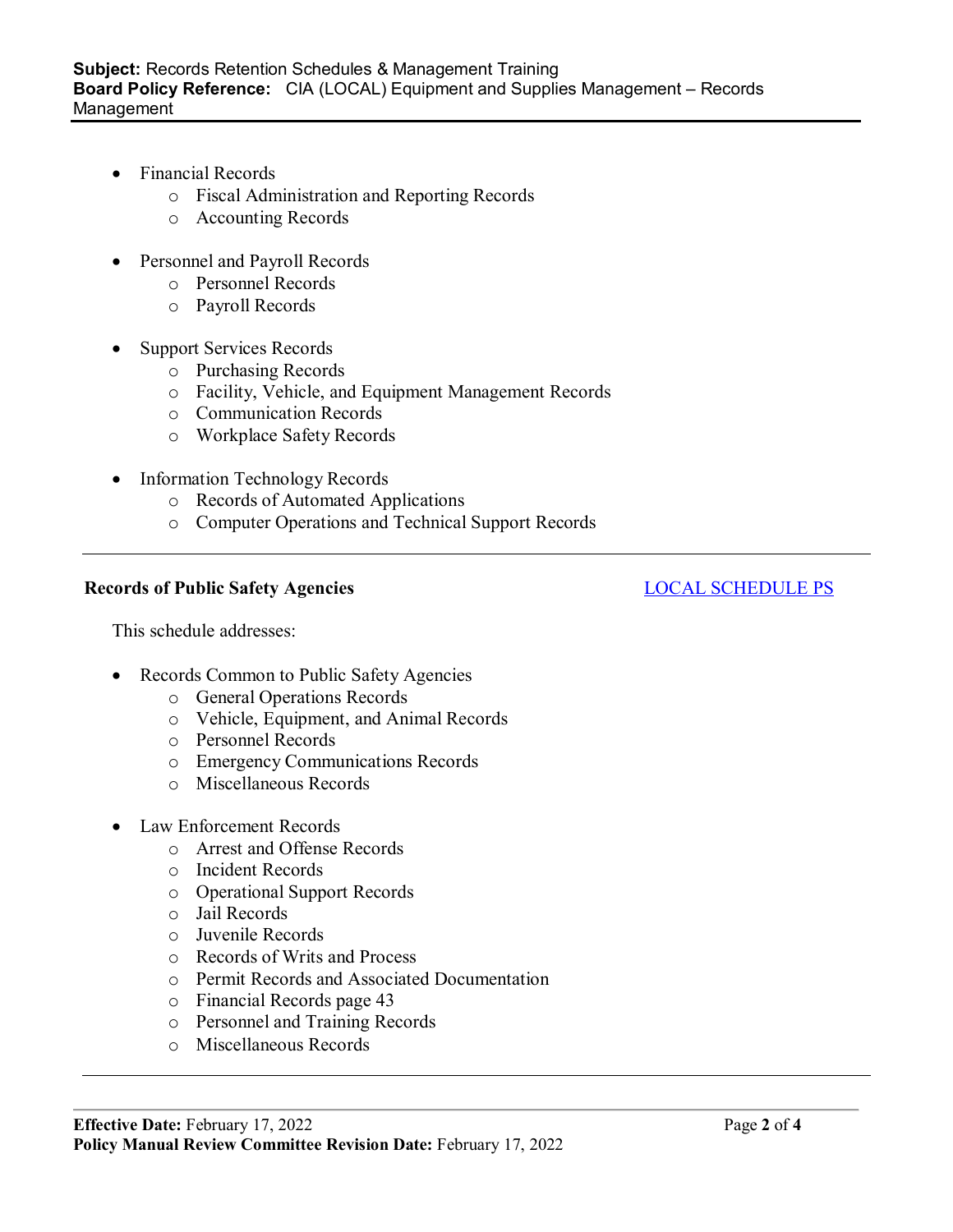- Financial Records
	- o Fiscal Administration and Reporting Records
	- o Accounting Records
- Personnel and Payroll Records
	- o Personnel Records
	- o Payroll Records
- **Support Services Records** 
	- o Purchasing Records
	- o Facility, Vehicle, and Equipment Management Records
	- o Communication Records
	- o Workplace Safety Records
- Information Technology Records
	- o Records of Automated Applications
	- o Computer Operations and Technical Support Records

# **Records** of Public Safety Agencies **LOCAL [SCHEDULE](https://www.tsl.texas.gov/sites/default/files/public/tslac/slrm/recordspubs/Schedule%20PS_4th%20Edition%20-%20Effective%202016-12-08.pdf) PS**

This schedule addresses:

- Records Common to Public Safety Agencies
	- o General Operations Records
	- o Vehicle, Equipment, and Animal Records
	- o Personnel Records
	- o Emergency Communications Records
	- o Miscellaneous Records
- Law Enforcement Records
	- o Arrest and Offense Records
	- o Incident Records
	- o Operational Support Records
	- o Jail Records
	- o Juvenile Records
	- o Records of Writs and Process
	- o Permit Records and Associated Documentation
	- o Financial Records page 43
	- o Personnel and Training Records
	- o Miscellaneous Records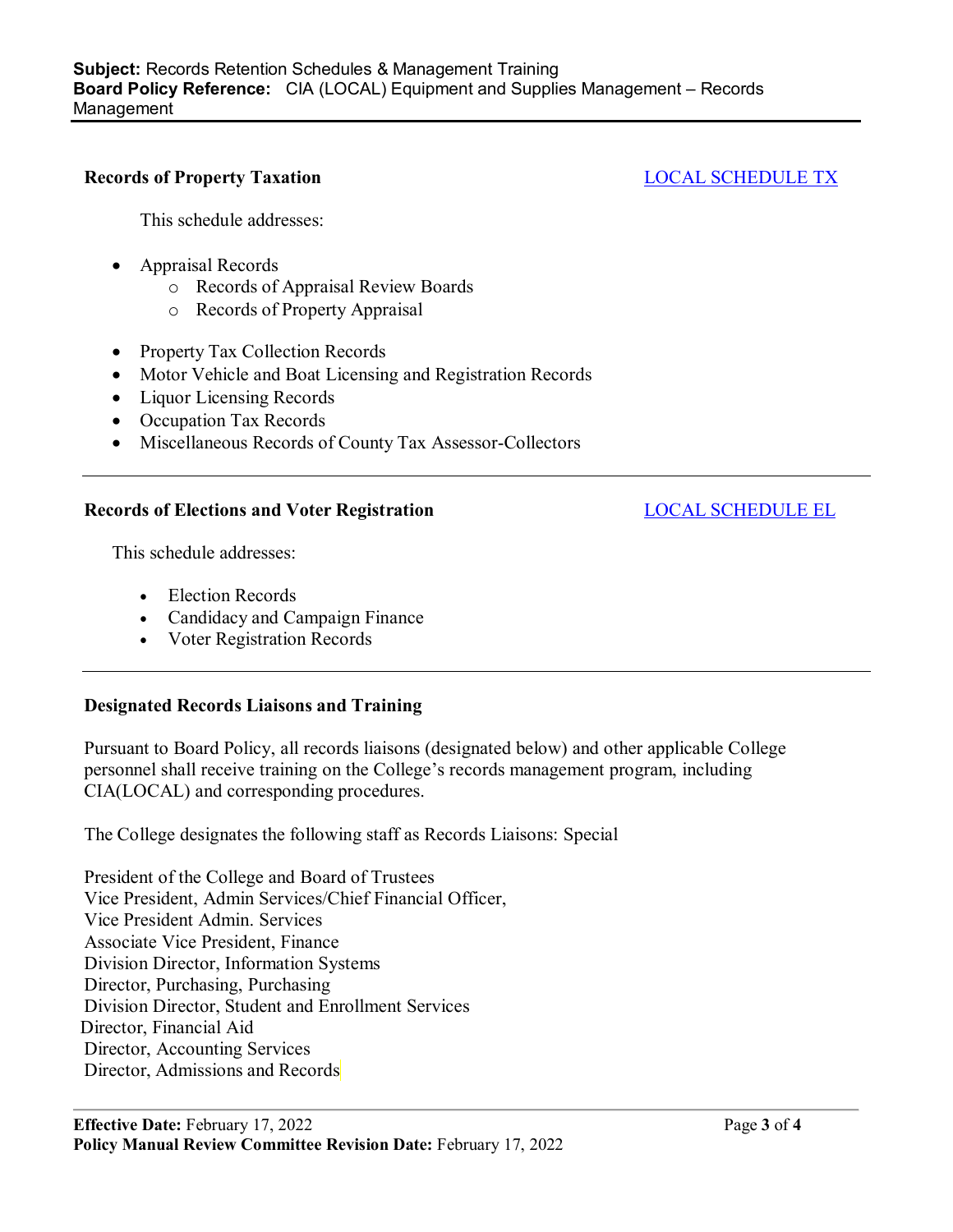## **Records of Property Taxation** LOCAL [SCHEDULE](https://www.tsl.texas.gov/sites/default/files/public/tslac/slrm/recordspubs/Schedule%20TX%20-%20Effective%202011-04-03.pdf) TX

This schedule addresses:

- Appraisal Records
	- o Records of Appraisal Review Boards
	- o Records of Property Appraisal
- Property Tax Collection Records
- Motor Vehicle and Boat Licensing and Registration Records
- Liquor Licensing Records
- Occupation Tax Records
- Miscellaneous Records of County Tax Assessor-Collectors

### **Records** of Elections and Voter Registration **LOCAL [SCHEDULE](https://www.tsl.texas.gov/sites/default/files/public/tslac/slrm/recordspubs/Schedule%20EL%20-%20Effective%202014-09-03.pdf) EL**

This schedule addresses:

- Election Records
- Candidacy and Campaign Finance
- Voter Registration Records

## **Designated Records Liaisons and Training**

Pursuant to Board Policy, all records liaisons (designated below) and other applicable College personnel shall receive training on the College's records management program, including CIA(LOCAL) and corresponding procedures.

The College designates the following staff as Records Liaisons: Special

President of the College and Board of Trustees Vice President, Admin Services/Chief Financial Officer, Vice President Admin. Services Associate Vice President, Finance Division Director, Information Systems Director, Purchasing, Purchasing Division Director, Student and Enrollment Services Director, Financial Aid Director, Accounting Services Director, Admissions and Records